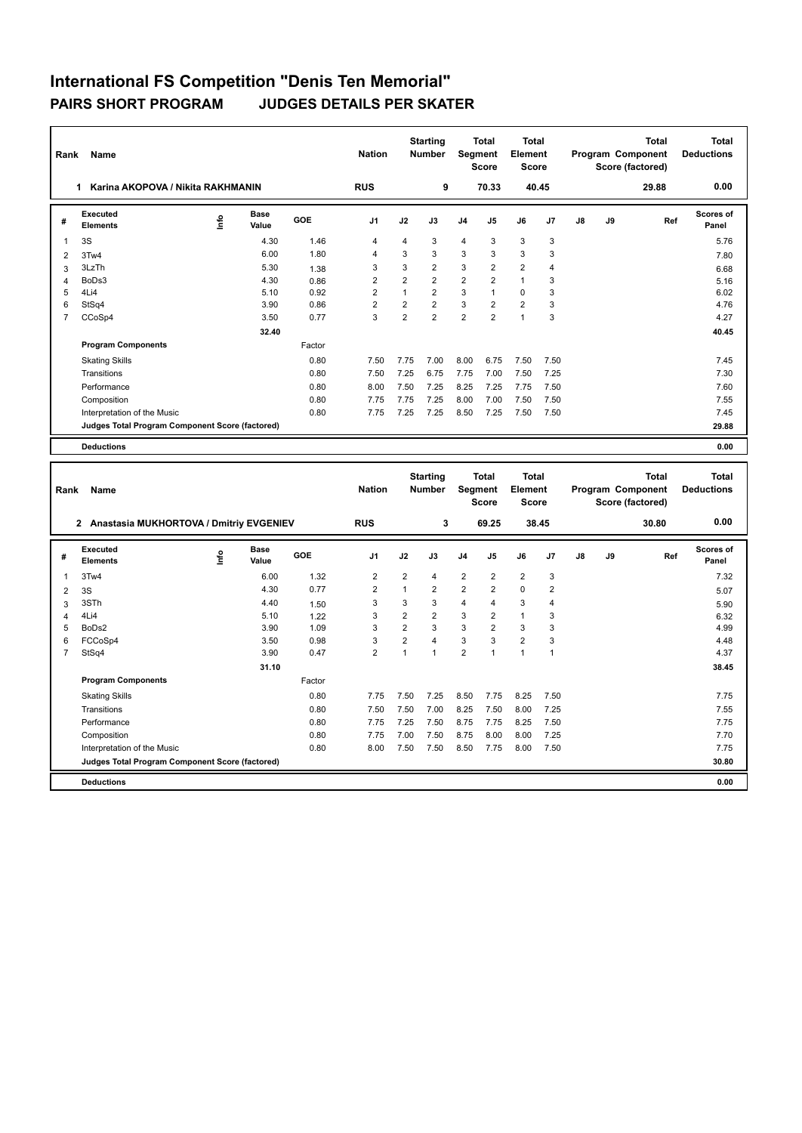| Rank           | Name                                            |      |               |        | <b>Nation</b>  |                | <b>Starting</b><br><b>Number</b> |                | <b>Total</b><br>Segment<br><b>Score</b> | <b>Total</b><br>Element<br><b>Score</b> |       |    |    | <b>Total</b><br>Program Component<br>Score (factored) | <b>Total</b><br><b>Deductions</b> |
|----------------|-------------------------------------------------|------|---------------|--------|----------------|----------------|----------------------------------|----------------|-----------------------------------------|-----------------------------------------|-------|----|----|-------------------------------------------------------|-----------------------------------|
|                | Karina AKOPOVA / Nikita RAKHMANIN<br>1.         |      |               |        | <b>RUS</b>     |                | 9                                |                | 70.33                                   |                                         | 40.45 |    |    | 29.88                                                 | 0.00                              |
| #              | Executed<br><b>Elements</b>                     | ١nfo | Base<br>Value | GOE    | J <sub>1</sub> | J2             | J3                               | J4             | J <sub>5</sub>                          | J6                                      | J7    | J8 | J9 | Ref                                                   | Scores of<br>Panel                |
| $\overline{1}$ | 3S                                              |      | 4.30          | 1.46   | 4              | 4              | 3                                | $\overline{4}$ | 3                                       | 3                                       | 3     |    |    |                                                       | 5.76                              |
| 2              | 3Tw4                                            |      | 6.00          | 1.80   | 4              | 3              | 3                                | 3              | 3                                       | 3                                       | 3     |    |    |                                                       | 7.80                              |
| 3              | 3LzTh                                           |      | 5.30          | 1.38   | 3              | 3              | $\overline{2}$                   | 3              | $\overline{2}$                          | $\overline{2}$                          | 4     |    |    |                                                       | 6.68                              |
| Δ              | BoDs3                                           |      | 4.30          | 0.86   | $\overline{2}$ | $\overline{2}$ | $\overline{2}$                   | $\overline{2}$ | $\overline{2}$                          | $\mathbf{1}$                            | 3     |    |    |                                                       | 5.16                              |
| 5              | 4Li4                                            |      | 5.10          | 0.92   | $\overline{2}$ | $\mathbf{1}$   | $\overline{2}$                   | 3              | $\mathbf{1}$                            | $\Omega$                                | 3     |    |    |                                                       | 6.02                              |
| 6              | StSq4                                           |      | 3.90          | 0.86   | $\overline{2}$ | $\overline{2}$ | $\overline{2}$                   | 3              | $\overline{2}$                          | $\overline{2}$                          | 3     |    |    |                                                       | 4.76                              |
| $\overline{7}$ | CCoSp4                                          |      | 3.50          | 0.77   | 3              | $\overline{2}$ | $\overline{2}$                   | $\overline{2}$ | $\overline{2}$                          | $\mathbf{1}$                            | 3     |    |    |                                                       | 4.27                              |
|                |                                                 |      | 32.40         |        |                |                |                                  |                |                                         |                                         |       |    |    |                                                       | 40.45                             |
|                | <b>Program Components</b>                       |      |               | Factor |                |                |                                  |                |                                         |                                         |       |    |    |                                                       |                                   |
|                | <b>Skating Skills</b>                           |      |               | 0.80   | 7.50           | 7.75           | 7.00                             | 8.00           | 6.75                                    | 7.50                                    | 7.50  |    |    |                                                       | 7.45                              |
|                | Transitions                                     |      |               | 0.80   | 7.50           | 7.25           | 6.75                             | 7.75           | 7.00                                    | 7.50                                    | 7.25  |    |    |                                                       | 7.30                              |
|                | Performance                                     |      |               | 0.80   | 8.00           | 7.50           | 7.25                             | 8.25           | 7.25                                    | 7.75                                    | 7.50  |    |    |                                                       | 7.60                              |
|                | Composition                                     |      |               | 0.80   | 7.75           | 7.75           | 7.25                             | 8.00           | 7.00                                    | 7.50                                    | 7.50  |    |    |                                                       | 7.55                              |
|                | Interpretation of the Music                     |      |               | 0.80   | 7.75           | 7.25           | 7.25                             | 8.50           | 7.25                                    | 7.50                                    | 7.50  |    |    |                                                       | 7.45                              |
|                | Judges Total Program Component Score (factored) |      |               |        |                |                |                                  |                |                                         |                                         |       |    |    |                                                       | 29.88                             |
|                |                                                 |      |               |        |                |                |                                  |                |                                         |                                         |       |    |    |                                                       |                                   |
|                | <b>Deductions</b>                               |      |               |        |                |                |                                  |                |                                         |                                         |       |    |    |                                                       | 0.00                              |
|                |                                                 |      |               |        |                |                |                                  |                |                                         |                                         |       |    |    |                                                       |                                   |
| Rank           | Name                                            |      |               |        | <b>Nation</b>  |                | <b>Starting</b><br><b>Number</b> |                | Total<br><b>Segment</b><br><b>Score</b> | <b>Total</b><br>Element<br><b>Score</b> |       |    |    | <b>Total</b><br>Program Component<br>Score (factored) | <b>Total</b><br><b>Deductions</b> |
|                | 2 Anastasia MUKHORTOVA / Dmitriy EVGENIEV       |      |               |        | <b>RUS</b>     |                | 3                                |                | 69.25                                   |                                         | 38.45 |    |    | 30.80                                                 | 0.00                              |
| #              | <b>Executed</b><br><b>Elements</b>              | ۴    | Base<br>Value | GOE    | J1             | J2             | J3                               | J4             | J5                                      | J6                                      | J7    | J8 | J9 | Ref                                                   | <b>Scores of</b><br>Panel         |
| 1              | 3Tw4                                            |      | 6.00          | 1.32   | $\overline{2}$ | 2              | $\overline{4}$                   | $\overline{2}$ | $\overline{2}$                          | $\overline{2}$                          | 3     |    |    |                                                       | 7.32                              |

 3S 4.30 0.77 2 1 2 2 2 0 2 5.07 3STh 4.40 1.50 3 3 3 4 4 3 4 5.90 4Li4 5.10 1.22 3 2 2 3 2 1 3 6.32 BoDs2 3.90 1.09 3 2 3 3 2 3 3 4.99 FCCoSp4 3.50 0.98 3 2 4 3 3 2 3 4.48 StSq4 3.90 0.47 2 1 1 2 1 1 1 4.37

Skating Skills 7.75 7.50 7.25 8.50 7.75 8.25 7.50 0.80 7.75

Transitions 0.80 7.50 7.50 7.00 8.25 7.50 8.00 7.25 7.55 Performance 0.80 7.75 7.25 7.50 8.75 7.75 8.25 7.50 7.75 Composition Composition 1.75 7.00 7.75 7.00 7.50 7.50 8.75 8.00 8.00 7.25 7.70 7.70<br>1.1erpretation of the Music 1.75 8.00 7.50 8.50 7.75 8.00 7.50 8.50 7.75 8.00 7.50 7.75 8.00 7.50 7.75

**Judges Total Program Component Score (factored) 30.80**

Factor

**31.10 38.45** 

Interpretation of the Music 0.80 8.00 7.50 7.50 8.50 7.75 8.00 7.50 7.75

**Deductions 0.00**

**Program Components**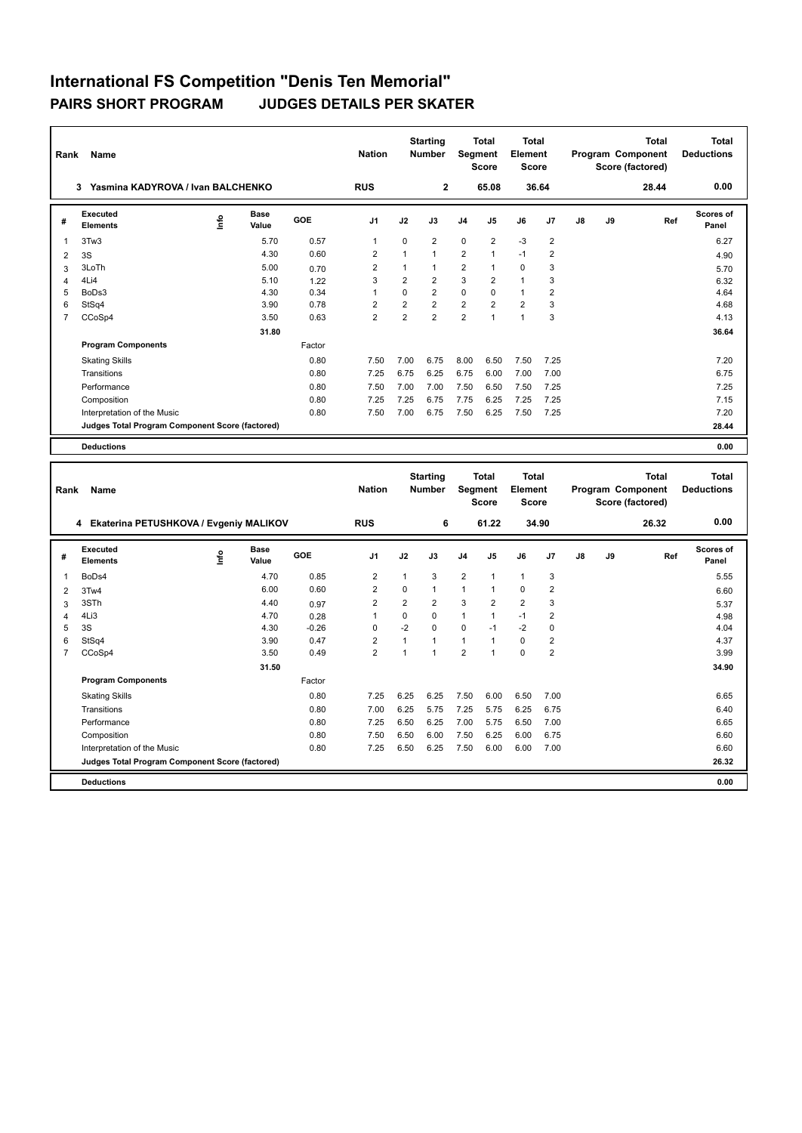| Rank           | Name                                            |    |               |        | <b>Nation</b>  |                | <b>Starting</b><br><b>Number</b> |                | <b>Total</b><br>Segment<br><b>Score</b> | <b>Total</b><br>Element<br><b>Score</b> |                |    |    | <b>Total</b><br>Program Component<br>Score (factored) | <b>Total</b><br><b>Deductions</b> |
|----------------|-------------------------------------------------|----|---------------|--------|----------------|----------------|----------------------------------|----------------|-----------------------------------------|-----------------------------------------|----------------|----|----|-------------------------------------------------------|-----------------------------------|
|                | 3 Yasmina KADYROVA / Ivan BALCHENKO             |    |               |        | <b>RUS</b>     |                | $\overline{2}$                   |                | 65.08                                   |                                         | 36.64          |    |    | 28.44                                                 | 0.00                              |
| #              | <b>Executed</b><br><b>Elements</b>              | ۴  | Base<br>Value | GOE    | J <sub>1</sub> | J2             | J3                               | J4             | J5                                      | J6                                      | J7             | J8 | J9 | Ref                                                   | <b>Scores of</b><br>Panel         |
| 1              | 3Tw3                                            |    | 5.70          | 0.57   | $\mathbf{1}$   | 0              | $\overline{2}$                   | $\mathbf 0$    | $\overline{2}$                          | $-3$                                    | $\overline{2}$ |    |    |                                                       | 6.27                              |
| 2              | 3S                                              |    | 4.30          | 0.60   | $\overline{2}$ | $\mathbf{1}$   | $\mathbf{1}$                     | $\overline{2}$ | $\mathbf{1}$                            | $-1$                                    | $\overline{2}$ |    |    |                                                       | 4.90                              |
| 3              | 3LoTh                                           |    | 5.00          | 0.70   | $\overline{2}$ | $\mathbf{1}$   | $\mathbf{1}$                     | $\overline{2}$ | $\mathbf{1}$                            | $\mathbf 0$                             | 3              |    |    |                                                       | 5.70                              |
| Δ              | 4Li4                                            |    | 5.10          | 1.22   | 3              | $\overline{2}$ | $\overline{2}$                   | 3              | $\overline{2}$                          | $\mathbf{1}$                            | 3              |    |    |                                                       | 6.32                              |
| 5              | BoDs3                                           |    | 4.30          | 0.34   | 1              | $\Omega$       | $\overline{2}$                   | $\Omega$       | $\Omega$                                | $\mathbf{1}$                            | 2              |    |    |                                                       | 4.64                              |
| 6              | StSq4                                           |    | 3.90          | 0.78   | $\overline{2}$ | $\overline{2}$ | $\overline{2}$                   | $\overline{2}$ | $\overline{2}$                          | $\overline{2}$                          | 3              |    |    |                                                       | 4.68                              |
| $\overline{7}$ | CCoSp4                                          |    | 3.50          | 0.63   | $\overline{2}$ | $\overline{2}$ | $\overline{2}$                   | $\overline{2}$ | $\overline{1}$                          | $\mathbf{1}$                            | 3              |    |    |                                                       | 4.13                              |
|                |                                                 |    | 31.80         |        |                |                |                                  |                |                                         |                                         |                |    |    |                                                       | 36.64                             |
|                | <b>Program Components</b>                       |    |               | Factor |                |                |                                  |                |                                         |                                         |                |    |    |                                                       |                                   |
|                | <b>Skating Skills</b>                           |    |               | 0.80   | 7.50           | 7.00           | 6.75                             | 8.00           | 6.50                                    | 7.50                                    | 7.25           |    |    |                                                       | 7.20                              |
|                | Transitions                                     |    |               | 0.80   | 7.25           | 6.75           | 6.25                             | 6.75           | 6.00                                    | 7.00                                    | 7.00           |    |    |                                                       | 6.75                              |
|                | Performance                                     |    |               | 0.80   | 7.50           | 7.00           | 7.00                             | 7.50           | 6.50                                    | 7.50                                    | 7.25           |    |    |                                                       | 7.25                              |
|                | Composition                                     |    |               | 0.80   | 7.25           | 7.25           | 6.75                             | 7.75           | 6.25                                    | 7.25                                    | 7.25           |    |    |                                                       | 7.15                              |
|                | Interpretation of the Music                     |    |               | 0.80   | 7.50           | 7.00           | 6.75                             | 7.50           | 6.25                                    | 7.50                                    | 7.25           |    |    |                                                       | 7.20                              |
|                | Judges Total Program Component Score (factored) |    |               |        |                |                |                                  |                |                                         |                                         |                |    |    |                                                       | 28.44                             |
|                |                                                 |    |               |        |                |                |                                  |                |                                         |                                         |                |    |    |                                                       |                                   |
|                | <b>Deductions</b>                               |    |               |        |                |                |                                  |                |                                         |                                         |                |    |    |                                                       | 0.00                              |
|                |                                                 |    |               |        |                |                |                                  |                |                                         |                                         |                |    |    |                                                       |                                   |
| Rank           | Name                                            |    |               |        | <b>Nation</b>  |                | <b>Starting</b><br><b>Number</b> |                | <b>Total</b><br>Segment<br><b>Score</b> | <b>Total</b><br>Element<br><b>Score</b> |                |    |    | <b>Total</b><br>Program Component<br>Score (factored) | <b>Total</b><br><b>Deductions</b> |
|                | 4 Ekaterina PETUSHKOVA / Evgeniy MALIKOV        |    |               |        | <b>RUS</b>     |                | 6                                |                | 61.22                                   |                                         | 34.90          |    |    | 26.32                                                 | 0.00                              |
| #              | <b>Executed</b><br><b>Elements</b>              | ۴ů | Base<br>Value | GOE    | J <sub>1</sub> | J2             | J3                               | J4             | J5                                      | J6                                      | J7             | J8 | J9 | Ref                                                   | <b>Scores of</b><br>Panel         |
| 1              | BoDs4                                           |    | 4.70          | 0.85   | $\overline{2}$ | 1              | 3                                | $\overline{2}$ | $\mathbf{1}$                            | $\mathbf{1}$                            | 3              |    |    |                                                       | 5.55                              |

 3Tw4 6.00 0.60 2 0 1 1 1 0 2 6.60 3STh 4.40 0.97 2 2 2 3 2 2 3 5.37 4Li3 4.70 0.28 1 0 0 1 1 -1 2 4.98 3S 4.30 -0.26 0 -2 0 0 -1 -2 0 4.04 StSq4 3.90 0.47 2 1 1 1 1 0 2 4.37 CCoSp4 3.50 0.49 2 1 1 2 1 0 2 3.99

Skating Skills 7.25 6.25 6.25 7.50 6.00 6.50 7.00 0.80 6.65

Transitions 0.80 7.00 6.25 5.75 7.25 5.75 6.25 6.75 6.40 Performance 0.80 7.25 6.50 6.25 7.00 5.75 6.50 7.00 6.65 Composition 0.80 0.80 7.50 6.50 6.00 7.50 6.25 6.00 6.75 6.80 6.60<br>11.1erpretation of the Music 0.80 0.80 7.25 6.50 6.25 7.50 6.00 6.00 7.00 6.60 6.60

**Judges Total Program Component Score (factored) 26.32**

Factor

**31.50 34.90** 

7.25 6.50 6.25 7.50 6.00 6.00 7.00

**Deductions 0.00**

**Program Components**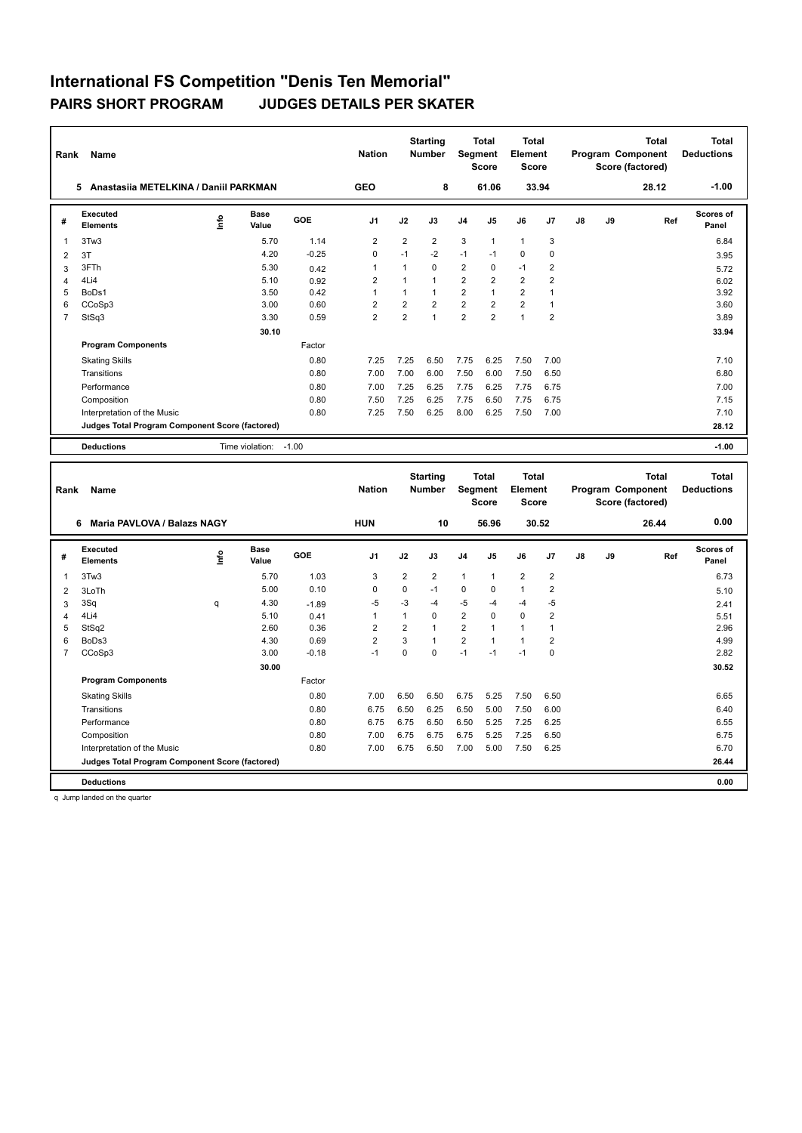|                         | Name<br>Rank                                    |                                  |                      |         |                |                | <b>Starting</b><br><b>Total</b><br><b>Number</b><br><b>Segment</b><br><b>Score</b> |                | Total<br>Element<br><b>Score</b> |                | Total<br>Program Component<br>Score (factored) |    |    | <b>Total</b><br><b>Deductions</b> |                           |
|-------------------------|-------------------------------------------------|----------------------------------|----------------------|---------|----------------|----------------|------------------------------------------------------------------------------------|----------------|----------------------------------|----------------|------------------------------------------------|----|----|-----------------------------------|---------------------------|
|                         | Anastasija METELKINA / Daniil PARKMAN<br>5      |                                  |                      |         | <b>GEO</b>     |                | 8                                                                                  |                | 61.06                            |                | 33.94                                          |    |    | 28.12                             | $-1.00$                   |
| #                       | Executed<br><b>Elements</b>                     | $\mathop{\mathsf{Irr}}\nolimits$ | <b>Base</b><br>Value | GOE     | J <sub>1</sub> | J2             | J3                                                                                 | J <sub>4</sub> | J <sub>5</sub>                   | J6             | J <sub>7</sub>                                 | J8 | J9 | Ref                               | <b>Scores of</b><br>Panel |
| 1                       | 3Tw3                                            |                                  | 5.70                 | 1.14    | 2              | 2              | $\overline{2}$                                                                     | 3              | $\mathbf{1}$                     | $\mathbf{1}$   | 3                                              |    |    |                                   | 6.84                      |
| 2                       | 3T                                              |                                  | 4.20                 | $-0.25$ | $\Omega$       | $-1$           | $-2$                                                                               | $-1$           | $-1$                             | $\Omega$       | $\mathbf 0$                                    |    |    |                                   | 3.95                      |
| 3                       | 3FTh                                            |                                  | 5.30                 | 0.42    | -1             | 1              | $\Omega$                                                                           | $\overline{2}$ | $\Omega$                         | $-1$           | 2                                              |    |    |                                   | 5.72                      |
| $\overline{\mathbf{A}}$ | 4Li4                                            |                                  | 5.10                 | 0.92    | $\overline{2}$ | $\overline{1}$ | $\overline{1}$                                                                     | $\overline{2}$ | 2                                | $\overline{2}$ | $\overline{2}$                                 |    |    |                                   | 6.02                      |
| 5                       | BoDs1                                           |                                  | 3.50                 | 0.42    | $\overline{1}$ | $\mathbf{1}$   | 1                                                                                  | $\overline{2}$ | $\mathbf{1}$                     | $\overline{2}$ | $\overline{1}$                                 |    |    |                                   | 3.92                      |
| 6                       | CCoSp3                                          |                                  | 3.00                 | 0.60    | $\overline{2}$ | $\overline{2}$ | $\overline{2}$                                                                     | $\overline{2}$ | $\overline{2}$                   | $\overline{2}$ | $\overline{1}$                                 |    |    |                                   | 3.60                      |
| $\overline{7}$          | StSq3                                           |                                  | 3.30                 | 0.59    | $\overline{2}$ | 2              | 1                                                                                  | $\overline{2}$ | $\overline{2}$                   | 1              | $\overline{2}$                                 |    |    |                                   | 3.89                      |
|                         |                                                 |                                  | 30.10                |         |                |                |                                                                                    |                |                                  |                |                                                |    |    |                                   | 33.94                     |
|                         | <b>Program Components</b>                       |                                  |                      | Factor  |                |                |                                                                                    |                |                                  |                |                                                |    |    |                                   |                           |
|                         | <b>Skating Skills</b>                           |                                  |                      | 0.80    | 7.25           | 7.25           | 6.50                                                                               | 7.75           | 6.25                             | 7.50           | 7.00                                           |    |    |                                   | 7.10                      |
|                         | Transitions                                     |                                  |                      | 0.80    | 7.00           | 7.00           | 6.00                                                                               | 7.50           | 6.00                             | 7.50           | 6.50                                           |    |    |                                   | 6.80                      |
|                         | Performance                                     |                                  |                      | 0.80    | 7.00           | 7.25           | 6.25                                                                               | 7.75           | 6.25                             | 7.75           | 6.75                                           |    |    |                                   | 7.00                      |
|                         | Composition                                     |                                  |                      | 0.80    | 7.50           | 7.25           | 6.25                                                                               | 7.75           | 6.50                             | 7.75           | 6.75                                           |    |    |                                   | 7.15                      |
|                         | Interpretation of the Music                     |                                  |                      | 0.80    | 7.25           | 7.50           | 6.25                                                                               | 8.00           | 6.25                             | 7.50           | 7.00                                           |    |    |                                   | 7.10                      |
|                         | Judges Total Program Component Score (factored) |                                  |                      |         |                |                |                                                                                    |                |                                  |                |                                                |    |    |                                   | 28.12                     |
|                         | <b>Deductions</b>                               |                                  | Time violation:      | $-1.00$ |                |                |                                                                                    |                |                                  |                |                                                |    |    |                                   | $-1.00$                   |

|                | Name<br>Rank                                    |                                  |                      |            |                |                | <b>Starting</b><br><b>Number</b> | <b>Segment</b> | <b>Total</b><br><b>Score</b> | <b>Total</b><br>Element<br><b>Score</b> |                | <b>Total</b><br>Program Component<br>Score (factored) |    |       | <b>Total</b><br><b>Deductions</b> |
|----------------|-------------------------------------------------|----------------------------------|----------------------|------------|----------------|----------------|----------------------------------|----------------|------------------------------|-----------------------------------------|----------------|-------------------------------------------------------|----|-------|-----------------------------------|
|                | Maria PAVLOVA / Balazs NAGY<br>6                |                                  |                      |            | <b>HUN</b>     |                | 10                               |                | 56.96                        |                                         | 30.52          |                                                       |    | 26.44 | 0.00                              |
| #              | Executed<br><b>Elements</b>                     | $\mathop{\mathsf{Irr}}\nolimits$ | <b>Base</b><br>Value | <b>GOE</b> | J <sub>1</sub> | J2             | J3                               | J <sub>4</sub> | J <sub>5</sub>               | J6                                      | J <sub>7</sub> | J8                                                    | J9 | Ref   | Scores of<br>Panel                |
| $\overline{1}$ | 3Tw3                                            |                                  | 5.70                 | 1.03       | 3              | $\overline{2}$ | $\overline{2}$                   | $\mathbf{1}$   | $\overline{1}$               | $\overline{2}$                          | $\overline{2}$ |                                                       |    |       | 6.73                              |
| $\overline{2}$ | 3LoTh                                           |                                  | 5.00                 | 0.10       | 0              | 0              | $-1$                             | $\mathbf 0$    | $\Omega$                     | $\mathbf{1}$                            | $\overline{2}$ |                                                       |    |       | 5.10                              |
| 3              | 3Sq                                             | q                                | 4.30                 | $-1.89$    | -5             | $-3$           | -4                               | $-5$           | $-4$                         | $-4$                                    | -5             |                                                       |    |       | 2.41                              |
| 4              | 4Li4                                            |                                  | 5.10                 | 0.41       | 1              | 1              | $\Omega$                         | $\overline{2}$ | $\Omega$                     | $\mathbf 0$                             | $\overline{2}$ |                                                       |    |       | 5.51                              |
| 5              | StSq2                                           |                                  | 2.60                 | 0.36       | $\overline{2}$ | $\overline{2}$ | $\overline{1}$                   | $\overline{2}$ | $\overline{ }$               | $\mathbf{1}$                            | 1              |                                                       |    |       | 2.96                              |
| 6              | BoDs3                                           |                                  | 4.30                 | 0.69       | $\overline{2}$ | 3              | $\mathbf{1}$                     | $\overline{2}$ | $\overline{1}$               | $\overline{1}$                          | 2              |                                                       |    |       | 4.99                              |
| $\overline{7}$ | CCoSp3                                          |                                  | 3.00                 | $-0.18$    | -1             | 0              | $\mathbf 0$                      | $-1$           | $-1$                         | $-1$                                    | $\mathbf 0$    |                                                       |    |       | 2.82                              |
|                |                                                 |                                  | 30.00                |            |                |                |                                  |                |                              |                                         |                |                                                       |    |       | 30.52                             |
|                | <b>Program Components</b>                       |                                  |                      | Factor     |                |                |                                  |                |                              |                                         |                |                                                       |    |       |                                   |
|                | <b>Skating Skills</b>                           |                                  |                      | 0.80       | 7.00           | 6.50           | 6.50                             | 6.75           | 5.25                         | 7.50                                    | 6.50           |                                                       |    |       | 6.65                              |
|                | Transitions                                     |                                  |                      | 0.80       | 6.75           | 6.50           | 6.25                             | 6.50           | 5.00                         | 7.50                                    | 6.00           |                                                       |    |       | 6.40                              |
|                | Performance                                     |                                  |                      | 0.80       | 6.75           | 6.75           | 6.50                             | 6.50           | 5.25                         | 7.25                                    | 6.25           |                                                       |    |       | 6.55                              |
|                | Composition                                     |                                  |                      | 0.80       | 7.00           | 6.75           | 6.75                             | 6.75           | 5.25                         | 7.25                                    | 6.50           |                                                       |    |       | 6.75                              |
|                | Interpretation of the Music                     |                                  |                      | 0.80       | 7.00           | 6.75           | 6.50                             | 7.00           | 5.00                         | 7.50                                    | 6.25           |                                                       |    |       | 6.70                              |
|                | Judges Total Program Component Score (factored) |                                  |                      |            |                |                |                                  |                |                              |                                         |                |                                                       |    |       | 26.44                             |
|                | <b>Deductions</b>                               |                                  |                      |            |                |                |                                  |                |                              |                                         |                |                                                       |    |       | 0.00                              |

q Jump landed on the quarter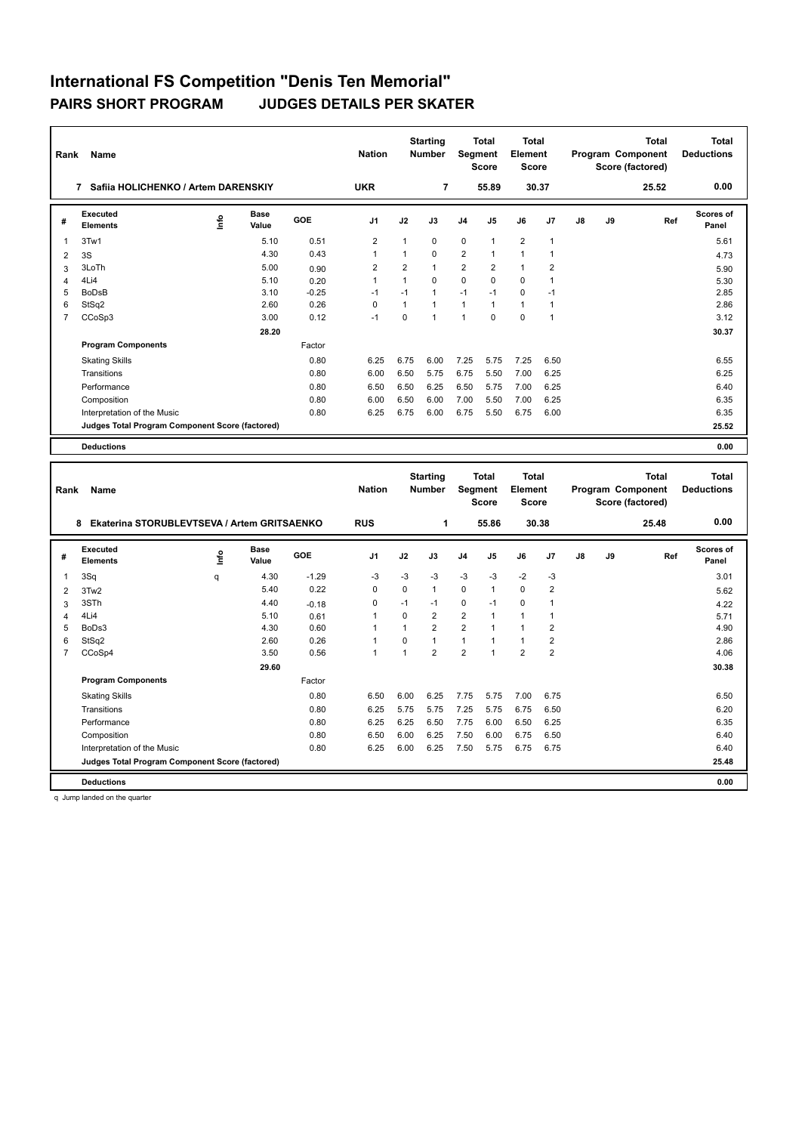| Rank           | Name                                            | <b>Nation</b> |                      | <b>Starting</b><br><b>Number</b> | <b>Total</b><br>Segment<br><b>Score</b> |                | <b>Total</b><br>Element<br><b>Score</b> |                | Program Component                |                         | <b>Total</b><br>Score (factored) | <b>Total</b><br><b>Deductions</b> |    |                                                       |                    |
|----------------|-------------------------------------------------|---------------|----------------------|----------------------------------|-----------------------------------------|----------------|-----------------------------------------|----------------|----------------------------------|-------------------------|----------------------------------|-----------------------------------|----|-------------------------------------------------------|--------------------|
|                | 7 Safiia HOLICHENKO / Artem DARENSKIY           |               |                      |                                  | <b>UKR</b>                              |                | $\overline{7}$                          |                | 55.89                            |                         | 30.37                            |                                   |    | 25.52                                                 | 0.00               |
| #              | <b>Executed</b><br><b>Elements</b>              | ١nfo          | <b>Base</b><br>Value | GOE                              | J <sub>1</sub>                          | J2             | J3                                      | J4             | J5                               | J6                      | J7                               | J8                                | J9 | Ref                                                   | Scores of<br>Panel |
| $\overline{1}$ | 3Tw1                                            |               | 5.10                 | 0.51                             | $\overline{2}$                          | $\mathbf{1}$   | $\mathbf 0$                             | $\mathbf 0$    | $\mathbf{1}$                     | $\overline{2}$          | $\overline{1}$                   |                                   |    |                                                       | 5.61               |
| $\overline{2}$ | 3S                                              |               | 4.30                 | 0.43                             | $\mathbf{1}$                            | $\mathbf{1}$   | $\Omega$                                | $\overline{2}$ | $\mathbf{1}$                     | $\mathbf{1}$            | $\mathbf{1}$                     |                                   |    |                                                       | 4.73               |
| 3              | 3LoTh                                           |               | 5.00                 | 0.90                             | $\overline{2}$                          | $\overline{2}$ | $\mathbf{1}$                            | $\overline{2}$ | $\overline{2}$                   | $\mathbf{1}$            | $\overline{2}$                   |                                   |    |                                                       | 5.90               |
| $\overline{4}$ | 4Li4                                            |               | 5.10                 | 0.20                             | 1                                       | $\mathbf{1}$   | $\mathbf 0$                             | $\mathbf 0$    | $\mathbf 0$                      | $\mathbf 0$             | $\mathbf{1}$                     |                                   |    |                                                       | 5.30               |
| 5              | <b>BoDsB</b>                                    |               | 3.10                 | $-0.25$                          | $-1$                                    | $-1$           | $\mathbf{1}$                            | $-1$           | $-1$                             | $\Omega$                | $-1$                             |                                   |    |                                                       | 2.85               |
| 6              | StSq2                                           |               | 2.60                 | 0.26                             | $\mathbf 0$                             | $\mathbf{1}$   | $\mathbf{1}$                            | $\mathbf{1}$   | $\mathbf{1}$                     | $\mathbf{1}$            | $\mathbf{1}$                     |                                   |    |                                                       | 2.86               |
| $\overline{7}$ | CCoSp3                                          |               | 3.00                 | 0.12                             | $-1$                                    | 0              | $\mathbf{1}$                            | $\mathbf{1}$   | $\Omega$                         | $\Omega$                | $\mathbf{1}$                     |                                   |    |                                                       | 3.12               |
|                |                                                 |               | 28.20                |                                  |                                         |                |                                         |                |                                  |                         |                                  |                                   |    |                                                       | 30.37              |
|                | <b>Program Components</b>                       |               |                      | Factor                           |                                         |                |                                         |                |                                  |                         |                                  |                                   |    |                                                       |                    |
|                | <b>Skating Skills</b>                           |               |                      | 0.80                             | 6.25                                    | 6.75           | 6.00                                    | 7.25           | 5.75                             | 7.25                    | 6.50                             |                                   |    |                                                       | 6.55               |
|                | Transitions                                     |               |                      | 0.80                             | 6.00                                    | 6.50           | 5.75                                    | 6.75           | 5.50                             | 7.00                    | 6.25                             |                                   |    |                                                       | 6.25               |
|                | Performance                                     |               |                      | 0.80                             | 6.50                                    | 6.50           | 6.25                                    | 6.50           | 5.75                             | 7.00                    | 6.25                             |                                   |    |                                                       | 6.40               |
|                | Composition                                     |               |                      | 0.80                             | 6.00                                    | 6.50           | 6.00                                    | 7.00           | 5.50                             | 7.00                    | 6.25                             |                                   |    |                                                       | 6.35               |
|                | Interpretation of the Music                     |               |                      | 0.80                             | 6.25                                    | 6.75           | 6.00                                    | 6.75           | 5.50                             | 6.75                    | 6.00                             |                                   |    |                                                       | 6.35               |
|                | Judges Total Program Component Score (factored) |               |                      |                                  |                                         |                |                                         |                |                                  |                         |                                  |                                   |    |                                                       | 25.52              |
|                | <b>Deductions</b>                               |               |                      |                                  |                                         |                |                                         |                |                                  |                         |                                  |                                   |    |                                                       | 0.00               |
|                |                                                 |               |                      |                                  |                                         |                |                                         |                |                                  | Total                   |                                  |                                   |    |                                                       | <b>Total</b>       |
| Rank           | Name                                            |               |                      |                                  | <b>Nation</b>                           |                | <b>Starting</b><br><b>Number</b>        |                | Total<br>Segment<br><b>Score</b> | Element<br><b>Score</b> |                                  |                                   |    | <b>Total</b><br>Program Component<br>Score (factored) | <b>Deductions</b>  |
|                | 8 Ekaterina STORUBLEVTSEVA / Artem GRITSAENKO   |               |                      |                                  | <b>RUS</b>                              |                | $\mathbf{1}$                            |                | 55.86                            |                         | 30.38                            |                                   |    | 25.48                                                 | 0.00               |
| #              | <b>Executed</b>                                 | ۴             | <b>Base</b>          | GOE                              | J1                                      | J2             | J3                                      | J4             | J5                               | J6                      | J7                               | J8                                | J9 | Ref                                                   | Scores of          |
|                | <b>Elements</b>                                 |               | Value                |                                  |                                         |                |                                         |                |                                  |                         |                                  |                                   |    |                                                       | Panel              |
| 1              | 3Sq                                             | q             | 4.30                 | $-1.29$                          | $-3$                                    | $-3$           | -3                                      | $-3$           | -3                               | $-2$                    | $-3$                             |                                   |    |                                                       | 3.01               |
| $\overline{2}$ | 3Tw2                                            |               | 5.40                 | 0.22                             | 0                                       | 0              | $\mathbf{1}$                            | $\mathbf 0$    | $\mathbf{1}$                     | $\mathbf 0$             | $\overline{2}$                   |                                   |    |                                                       | 5.62               |
| 3              | 3STh                                            |               | 4.40                 | $-0.18$                          | 0                                       | $-1$           | $-1$                                    | 0              | $-1$                             | $\mathbf 0$             | $\mathbf{1}$                     |                                   |    |                                                       | 4.22               |
| $\overline{4}$ | 4Li4                                            |               | 5.10                 | 0.61                             | $\mathbf{1}$                            | $\Omega$       | $\overline{2}$                          | $\overline{2}$ | $\mathbf{1}$                     | $\mathbf{1}$            | $\mathbf{1}$                     |                                   |    |                                                       | 5.71               |
| 5              | BoDs3                                           |               | 4.30                 | 0.60                             | 1                                       | 1              | $\overline{2}$                          | $\overline{2}$ | $\mathbf{1}$                     | $\mathbf{1}$            | $\overline{2}$                   |                                   |    |                                                       | 4.90               |
| 6              | StSq2                                           |               | 2.60                 | 0.26                             | 1                                       | 0              | $\mathbf{1}$                            | $\mathbf{1}$   | 1                                | $\mathbf{1}$            | 2                                |                                   |    |                                                       | 2.86               |
| $\overline{7}$ | CCoSp4                                          |               | 3.50                 | 0.56                             | $\mathbf{1}$                            | $\mathbf{1}$   | $\overline{2}$                          | $\overline{2}$ | 1                                | $\overline{2}$          | $\overline{2}$                   |                                   |    |                                                       | 4.06               |

Skating Skills 6.50 6.00 6.25 7.75 5.75 7.00 6.75 0.80 6.50

Transitions 0.80 6.25 5.75 5.75 7.25 5.75 6.75 6.50 6.20 Performance 0.80 6.25 6.25 6.50 7.75 6.00 6.50 6.25 6.35

Factor

 **29.60 30.38**

6.25 6.00 6.25 7.50 5.75 6.75 6.75

Composition 0.80 6.50 6.00 6.25 7.50 6.00 6.75 6.50<br>
Interpretation of the Music 0.80 6.25 6.00 6.25 7.50 6.00 6.75 6.50<br>
0.80 6.25 6.00 6.25 7.50 5.75 6.75 6.75 6.40 **Judges Total Program Component Score (factored) 25.48**

**Program Components** 

**Deductions 0.00**

q Jump landed on the quarter